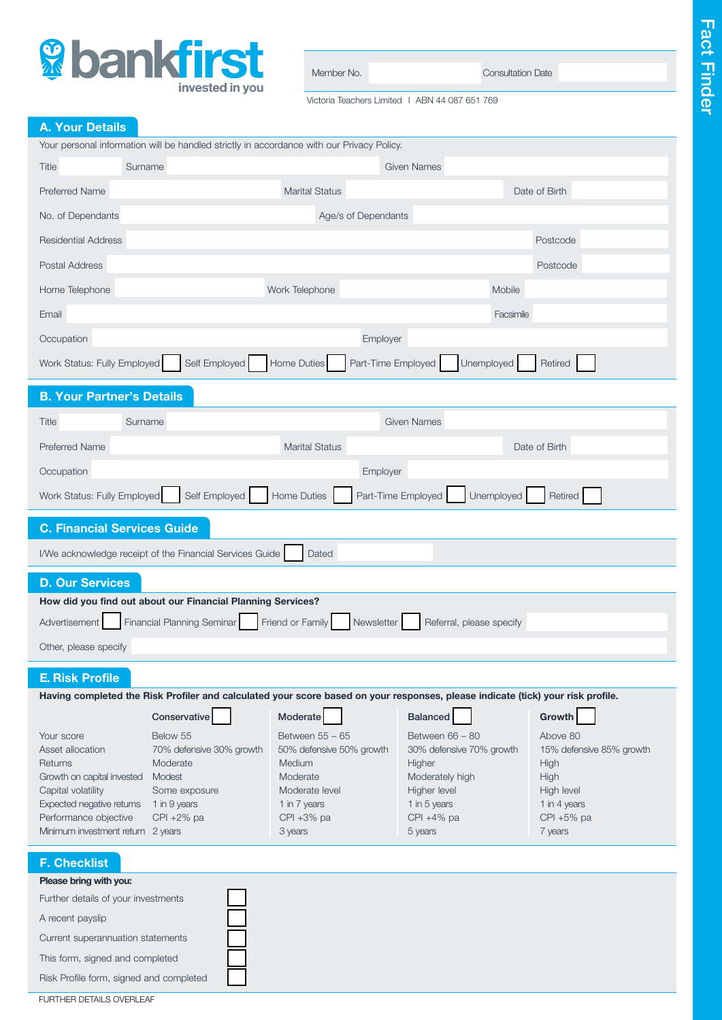

| Member No. | <b>Consultation Date</b> |  |
|------------|--------------------------|--|
|            |                          |  |

Victoria Teachers Limited I ABN 44 087 651 769

# A. Your Details

|                                                                                                                                                                                          |                                                                                                                               | Your personal information will be handled strictly in accordance with our Privacy Policy.                                                   |                                                                                                                                                         |                                                                                                                       |
|------------------------------------------------------------------------------------------------------------------------------------------------------------------------------------------|-------------------------------------------------------------------------------------------------------------------------------|---------------------------------------------------------------------------------------------------------------------------------------------|---------------------------------------------------------------------------------------------------------------------------------------------------------|-----------------------------------------------------------------------------------------------------------------------|
| Surname<br>Title                                                                                                                                                                         |                                                                                                                               |                                                                                                                                             | <b>Given Names</b>                                                                                                                                      |                                                                                                                       |
| <b>Preferred Name</b>                                                                                                                                                                    |                                                                                                                               | <b>Marital Status</b>                                                                                                                       |                                                                                                                                                         | Date of Birth                                                                                                         |
| No. of Dependants                                                                                                                                                                        |                                                                                                                               | Age/s of Dependants                                                                                                                         |                                                                                                                                                         |                                                                                                                       |
| <b>Residential Address</b>                                                                                                                                                               |                                                                                                                               |                                                                                                                                             |                                                                                                                                                         | Postcode                                                                                                              |
| Postal Address                                                                                                                                                                           |                                                                                                                               |                                                                                                                                             |                                                                                                                                                         | Postcode                                                                                                              |
| Home Telephone                                                                                                                                                                           |                                                                                                                               | Work Telephone                                                                                                                              | Mobile                                                                                                                                                  |                                                                                                                       |
| Email                                                                                                                                                                                    |                                                                                                                               |                                                                                                                                             | Facsimile                                                                                                                                               |                                                                                                                       |
| Occupation                                                                                                                                                                               |                                                                                                                               | Employer                                                                                                                                    |                                                                                                                                                         |                                                                                                                       |
| Work Status: Fully Employed                                                                                                                                                              | Self Employed                                                                                                                 | Home Duties<br>Part-Time Employed                                                                                                           | Unemployed                                                                                                                                              | Retired                                                                                                               |
| <b>B. Your Partner's Details</b>                                                                                                                                                         |                                                                                                                               |                                                                                                                                             |                                                                                                                                                         |                                                                                                                       |
| Surname<br>Title                                                                                                                                                                         |                                                                                                                               |                                                                                                                                             | <b>Given Names</b>                                                                                                                                      |                                                                                                                       |
| <b>Preferred Name</b>                                                                                                                                                                    |                                                                                                                               | <b>Marital Status</b>                                                                                                                       |                                                                                                                                                         | Date of Birth                                                                                                         |
| Occupation                                                                                                                                                                               |                                                                                                                               | Employer                                                                                                                                    |                                                                                                                                                         |                                                                                                                       |
| Work Status: Fully Employed                                                                                                                                                              | Self Employed                                                                                                                 | Home Duties<br>Part-Time Employed                                                                                                           | Unemployed                                                                                                                                              | Retired                                                                                                               |
| <b>C. Financial Services Guide</b>                                                                                                                                                       |                                                                                                                               |                                                                                                                                             |                                                                                                                                                         |                                                                                                                       |
|                                                                                                                                                                                          | I/We acknowledge receipt of the Financial Services Guide                                                                      | Dated                                                                                                                                       |                                                                                                                                                         |                                                                                                                       |
| <b>D. Our Services</b>                                                                                                                                                                   |                                                                                                                               |                                                                                                                                             |                                                                                                                                                         |                                                                                                                       |
|                                                                                                                                                                                          | How did you find out about our Financial Planning Services?                                                                   |                                                                                                                                             |                                                                                                                                                         |                                                                                                                       |
| Advertisement                                                                                                                                                                            | Financial Planning Seminar                                                                                                    | Friend or Family<br>Newsletter                                                                                                              | Referral, please specify                                                                                                                                |                                                                                                                       |
| Other, please specify                                                                                                                                                                    |                                                                                                                               |                                                                                                                                             |                                                                                                                                                         |                                                                                                                       |
| <b>E. Risk Profile</b>                                                                                                                                                                   |                                                                                                                               |                                                                                                                                             |                                                                                                                                                         |                                                                                                                       |
|                                                                                                                                                                                          |                                                                                                                               |                                                                                                                                             | Having completed the Risk Profiler and calculated your score based on your responses, please indicate (tick) your risk profile.                         |                                                                                                                       |
| Your score<br>Asset allocation<br>Returns<br>Growth on capital invested<br>Capital volatility<br>Expected negative returns<br>Performance objective<br>Minimum investment return 2 years | Conservative<br>Below 55<br>70% defensive 30% growth<br>Moderate<br>Modest<br>Some exposure<br>1 in 9 years<br>$CPI + 2\%$ pa | Moderate<br>Between 55 - 65<br>50% defensive 50% growth<br>Medium<br>Moderate<br>Moderate level<br>1 in 7 years<br>$CPI + 3%$ pa<br>3 years | <b>Balanced</b><br>Between 66 - 80<br>30% defensive 70% growth<br>Higher<br>Moderately high<br>Higher level<br>1 in 5 years<br>$CPI + 4%$ pa<br>5 years | Growth<br>Above 80<br>15% defensive 85% growth<br>High<br>High<br>High level<br>1 in 4 years<br>CPI +5% pa<br>7 years |
| <b>F. Checklist</b>                                                                                                                                                                      |                                                                                                                               |                                                                                                                                             |                                                                                                                                                         |                                                                                                                       |
| Please bring with you:<br>Further details of your investments<br>A recent payslip<br>Current superannuation statements<br>This form, signed and completed                                |                                                                                                                               |                                                                                                                                             |                                                                                                                                                         |                                                                                                                       |

Risk Profile form, signed and completed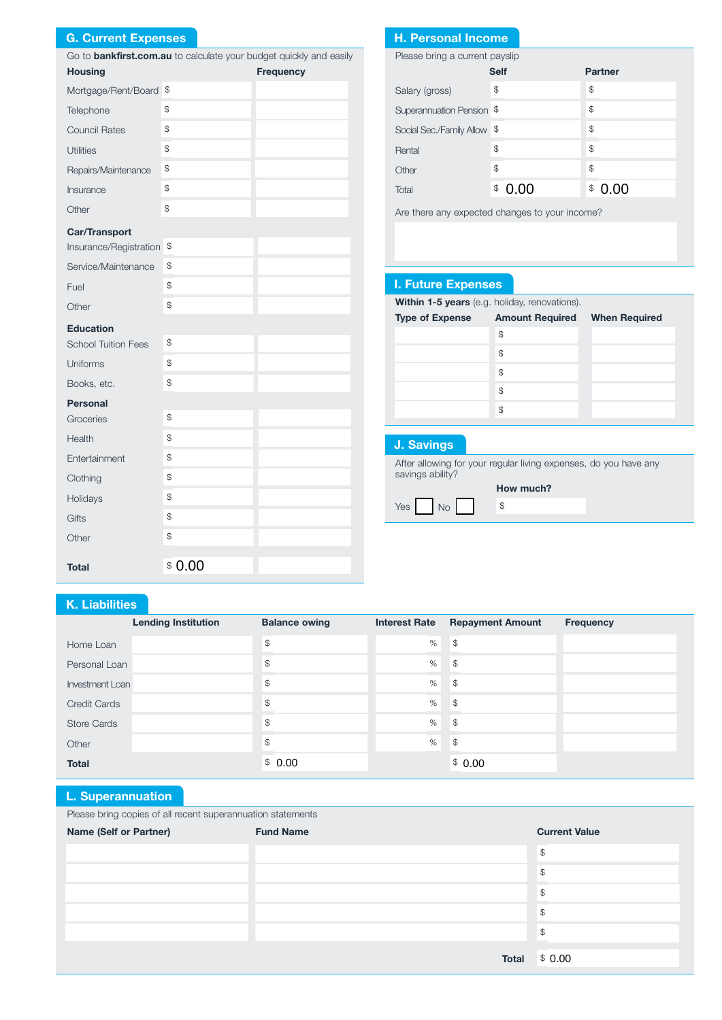## G. Current Expenses

|                            |               | Go to <b>bankfirst.com.au</b> to calculate your budget quickly and easily | Please bring a current payslip                            |                                                       |                       |
|----------------------------|---------------|---------------------------------------------------------------------------|-----------------------------------------------------------|-------------------------------------------------------|-----------------------|
| <b>Housing</b>             |               | Frequency                                                                 |                                                           | <b>Self</b>                                           | <b>Partner</b>        |
| Mortgage/Rent/Board \$     |               |                                                                           | Salary (gross)                                            | \$                                                    | \$                    |
| Telephone                  | \$            |                                                                           | Superannuation Pension \$                                 |                                                       | \$                    |
| <b>Council Rates</b>       | \$            |                                                                           | Social Sec./Family Allow \$                               |                                                       | \$                    |
| <b>Utilities</b>           | $\mathbb{S}$  |                                                                           | Rental                                                    | \$                                                    | \$                    |
| Repairs/Maintenance        | \$            |                                                                           | Other                                                     | \$                                                    | $$\mathbb{S}$$        |
| Insurance                  | \$            |                                                                           | Total                                                     | $\, \, \raisebox{12pt}{$\scriptstyle \circ$}$<br>0.00 | 0.00<br>${\mathbb S}$ |
| Other                      | $\mathbb{S}$  |                                                                           | Are there any expected changes to your income?            |                                                       |                       |
| Car/Transport              |               |                                                                           |                                                           |                                                       |                       |
| Insurance/Registration \$  |               |                                                                           |                                                           |                                                       |                       |
| Service/Maintenance        | $\frac{1}{2}$ |                                                                           |                                                           |                                                       |                       |
| Fuel                       | \$            |                                                                           | <b>I. Future Expenses</b>                                 |                                                       |                       |
| Other                      | \$            |                                                                           | Within 1-5 years (e.g. holiday, renovations).             |                                                       |                       |
| <b>Education</b>           |               |                                                                           | <b>Type of Expense</b>                                    | <b>Amount Required</b>                                | <b>When R</b>         |
| <b>School Tuition Fees</b> | \$            |                                                                           |                                                           | \$                                                    |                       |
| Uniforms                   | \$            |                                                                           |                                                           | $$\mathbb{S}$$                                        |                       |
| Books, etc.                | \$            |                                                                           |                                                           | $$\mathbb{S}$$<br>\$                                  |                       |
| <b>Personal</b>            |               |                                                                           |                                                           | $\mathbb{S}$                                          |                       |
| Groceries                  | \$            |                                                                           |                                                           |                                                       |                       |
| Health                     | \$            |                                                                           | <b>J. Savings</b>                                         |                                                       |                       |
| Entertainment              | \$            |                                                                           | After allowing for your regular living expenses, do you h |                                                       |                       |
| Clothing                   | \$            |                                                                           | savings ability?                                          |                                                       |                       |
| Holidays                   | \$            |                                                                           |                                                           | How much?                                             |                       |
| Gifts                      | \$            |                                                                           | No<br>Yes                                                 | \$                                                    |                       |
| Other                      | \$            |                                                                           |                                                           |                                                       |                       |
|                            |               |                                                                           |                                                           |                                                       |                       |
| <b>Total</b>               | \$0.00        |                                                                           |                                                           |                                                       |                       |

## H. Personal Income

| Please bring a current payslip |             |                |  |  |
|--------------------------------|-------------|----------------|--|--|
|                                | <b>Self</b> | <b>Partner</b> |  |  |
| Salary (gross)                 | \$          | \$             |  |  |
| Superannuation Pension \$      |             | \$             |  |  |
| Social Sec./Family Allow \$    |             | \$             |  |  |
| Rental                         | \$          | \$             |  |  |
| Other                          | \$          | \$             |  |  |
| Total                          | \$          | ന<br>\$        |  |  |

# I. Future Expenses

| <b>Type of Expense</b> | <b>Amount Required</b> | <b>When Required</b> |
|------------------------|------------------------|----------------------|
|                        | \$                     |                      |
|                        | \$                     |                      |
|                        | \$                     |                      |
|                        | \$                     |                      |
|                        | \$                     |                      |

## J. Savings

After allowing for your regular living expenses, do you have any savings ability?

## K. Liabilities

|                        | <b>Lending Institution</b> | <b>Balance owing</b> | <b>Interest Rate</b> | <b>Repayment Amount</b> | <b>Frequency</b> |
|------------------------|----------------------------|----------------------|----------------------|-------------------------|------------------|
| Home Loan              |                            | \$                   | %                    | \$                      |                  |
| Personal Loan          |                            | $\mathcal{L}$        | $\%$                 | <b>S</b>                |                  |
| <b>Investment Loan</b> |                            | \$                   | %                    | $\mathcal{S}$           |                  |
| <b>Credit Cards</b>    |                            | \$                   | %                    | \$                      |                  |
| <b>Store Cards</b>     |                            | \$                   | %                    | \$                      |                  |
| Other                  |                            | \$                   | %                    | \$                      |                  |
| <b>Total</b>           |                            | \$0.00               |                      | \$0.00                  |                  |

### L. Superannuation

Please bring copies of all recent superannuation statements

| $\sim$ $\sim$<br>. .<br>Name (Self or Partner) | <b>Fund Name</b> | <b>Current Value</b> |
|------------------------------------------------|------------------|----------------------|
|                                                |                  | $\mathcal{L}$        |
|                                                |                  | \$                   |
|                                                |                  | \$                   |
|                                                |                  | \$                   |
|                                                |                  | \$                   |
|                                                | <b>Total</b>     | \$0.00               |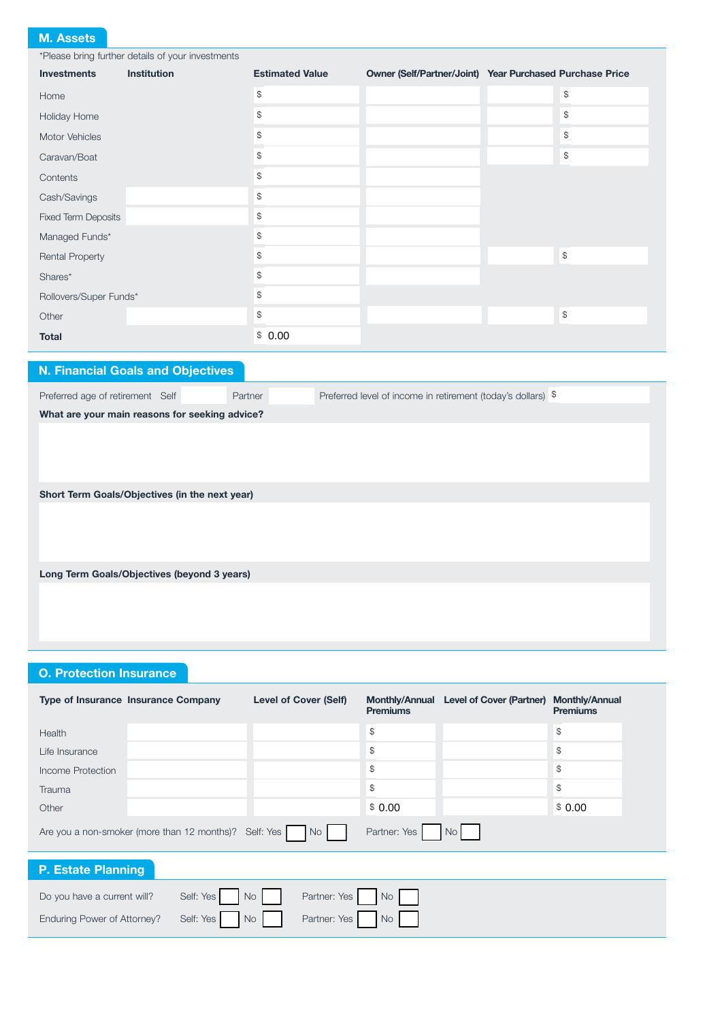### M. Assets

\*Please bring further details of your investments Investments Institution Estimated Value Owner (Self/Partner/Joint) Year Purchased Purchase Price Home  $\qquad \qquad \bullet$ Holiday Home **\$** \$ Motor Vehicles  $\qquad \qquad \, \text{``}$ Caravan/Boat \$ \$ Contents **\$** Cash/Savings  $\qquad$ Fixed Term Deposits  $\qquad$ Managed Funds\*  $\qquad \qquad$  \$ Rental Property **\$** \$  $\mathsf{Shares}^\star$   $\qquad$   $\qquad$   $\qquad$   $\qquad$   $\qquad$   $\qquad$   $\qquad$   $\qquad$   $\qquad$   $\qquad$   $\qquad$   $\qquad$   $\qquad$   $\qquad$   $\qquad$   $\qquad$   $\qquad$   $\qquad$   $\qquad$   $\qquad$   $\qquad$   $\qquad$   $\qquad$   $\qquad$   $\qquad$   $\qquad$   $\qquad$   $\qquad$   $\qquad$   $\qquad$   $\qquad$   $\qquad$   $\qquad$   $\qquad$   $\qquad$ Rollovers/Super Funds\*  $\qquad$  \$ Other the state of  $\frac{1}{3}$  is the state of  $\frac{1}{3}$  is the state of  $\frac{1}{3}$  is the state of  $\frac{1}{3}$ **Total**  $$0.00$ 

## N. Financial Goals and Objectives

Preferred age of retirement Self Partner Partner Preferred level of income in retirement (today's dollars) \$

What are your main reasons for seeking advice?

Short Term Goals/Objectives (in the next year)

Long Term Goals/Objectives (beyond 3 years)

### O. Protection Insurance

|                                                                                     | <b>Type of Insurance Insurance Company</b> | <b>Level of Cover (Self)</b> | <b>Monthly/Annual</b><br><b>Premiums</b> | Level of Cover (Partner) Monthly/Annual | <b>Premiums</b> |
|-------------------------------------------------------------------------------------|--------------------------------------------|------------------------------|------------------------------------------|-----------------------------------------|-----------------|
| Health                                                                              |                                            |                              | \$                                       |                                         | $\mathfrak{F}$  |
| Life Insurance                                                                      |                                            |                              | \$                                       |                                         | \$              |
| Income Protection                                                                   |                                            |                              | \$                                       |                                         | $\mathfrak{F}$  |
| Trauma                                                                              |                                            |                              | \$                                       |                                         | $\mathcal{S}$   |
| Other                                                                               |                                            |                              | \$0.00                                   |                                         | \$0.00          |
| Partner: Yes<br>Are you a non-smoker (more than 12 months)? Self: Yes<br>No<br>No I |                                            |                              |                                          |                                         |                 |
| <b>P. Estate Planning</b>                                                           |                                            |                              |                                          |                                         |                 |

| Do you have a current will? Self: Yes No No Partner: Yes No No |  |
|----------------------------------------------------------------|--|
| Enduring Power of Attorney? Self: Yes No No Partner: Yes No No |  |